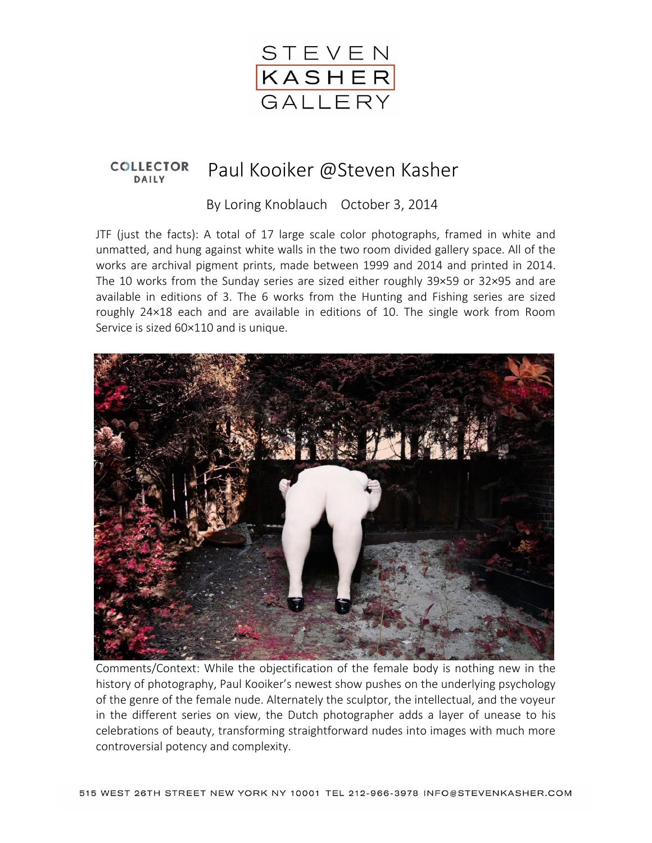

## **COLLECTOR** Paul Kooiker @Steven Kasher **DAILY**

By Loring Knoblauch October 3, 2014

JTF (just the facts): A total of 17 large scale color photographs, framed in white and unmatted, and hung against white walls in the two room divided gallery space. All of the works are archival pigment prints, made between 1999 and 2014 and printed in 2014. The 10 works from the Sunday series are sized either roughly 39×59 or 32×95 and are available in editions of 3. The 6 works from the Hunting and Fishing series are sized roughly 24×18 each and are available in editions of 10. The single work from Room Service is sized 60×110 and is unique.



Comments/Context: While the objectification of the female body is nothing new in the history of photography, Paul Kooiker's newest show pushes on the underlying psychology of the genre of the female nude. Alternately the sculptor, the intellectual, and the voyeur in the different series on view, the Dutch photographer adds a layer of unease to his celebrations of beauty, transforming straightforward nudes into images with much more controversial potency and complexity.